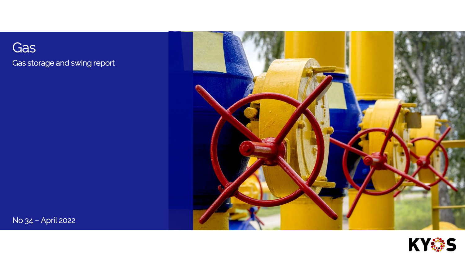Gas Gas storage and swing report





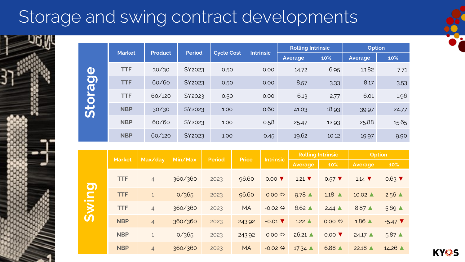# Storage and swing contract developments

|                | <b>Market</b> | <b>Product</b> | <b>Period</b> |                   | <b>Intrinsic</b> | <b>Rolling Intrinsic</b> |                                   | <b>Option</b>  |                 |
|----------------|---------------|----------------|---------------|-------------------|------------------|--------------------------|-----------------------------------|----------------|-----------------|
|                |               |                |               | <b>Cycle Cost</b> |                  | <b>Average</b>           | 10%                               | <b>Average</b> | 10%             |
| $\mathbf \Phi$ | <b>TTF</b>    | 30/30          | SY2023        | 0.50              | 0.00             | 14.72                    | 6.95                              | 13.82          | 7.71            |
| $\overline{O}$ | <b>TTF</b>    | 60/60          | SY2023        | 0.50              | 0.00             | 8.57                     | 3.33                              | 8.17           | 3.53            |
| Stora          | <b>TTF</b>    | 60/120         | SY2023        | 0.50              | 0.00             | 6.13                     | 2.77                              | 6.01           | 1.96            |
|                | <b>NBP</b>    | 30/30          | SY2023        | 1.00              | 0.60             | 41.03                    | 18.93                             | 39.97          | 24.77           |
|                | <b>NBP</b>    | 60/60          | SY2023        | 1.00              | 0.58             | 25.47                    | 12.93                             | 25.88          | 15.65           |
|                | <b>NBP</b>    | 60/120         | SY2023        | 1.00              | 0.45             | 19.62                    | 10.12                             | 19.97          | 9.90            |
|                |               |                |               |                   |                  |                          |                                   |                |                 |
|                |               |                |               |                   |                  |                          | <b>The College of the Leaders</b> |                | <b>ALL LESS</b> |

|                               | <b>Market</b> | Max/day        | Min/Max | <b>Period</b> | <b>Price</b> | <b>Intrinsic</b>             | <b>Rolling Intrinsic</b>    |                             | <b>Option</b>               |                              |
|-------------------------------|---------------|----------------|---------|---------------|--------------|------------------------------|-----------------------------|-----------------------------|-----------------------------|------------------------------|
|                               |               |                |         |               |              |                              | <b>Average</b>              | 10%                         | <b>Average</b>              | 10%                          |
| $\overline{O}$                | <b>TTF</b>    | $\overline{4}$ | 360/360 | 2023          | 96.60        | $0.00$ $\blacktriangledown$  | $1.21$ $\blacktriangledown$ | $0.57$ $\blacktriangledown$ | $1.14$ $\blacktriangledown$ | $0.63$ $\blacktriangledown$  |
| $\blacksquare$                | <b>TTF</b>    | $\mathbf{1}$   | 0/365   | 2023          | 96.60        | $0.00 \Leftrightarrow$       | $9.78 \triangle$            | $1.18 \triangle$            | $10.02 \triangle$           | $2.56 \triangle$             |
| $\overline{\mathsf{S}}$<br>ပာ | <b>TTF</b>    | $\overline{4}$ | 360/360 | 2023          | <b>MA</b>    | $-0.02 \Leftrightarrow$      | $6.62 \triangle$            | $2.44 \triangle$            | $8.87 \triangle$            | $5.69 \triangle$             |
|                               | <b>NBP</b>    | $\overline{4}$ | 360/360 | 2023          | 243.92       | $-0.01$ $\blacktriangledown$ | $1.22 \triangle$            | $0.00 \Leftrightarrow$      | $1.86$ $\triangle$          | $-5.47$ $\blacktriangledown$ |
|                               | <b>NBP</b>    | $\mathbf{1}$   | 0/365   | 2023          | 243.92       | $0.00 \Leftrightarrow$       | $26.21$ $\triangle$         | $0.00$ $\blacktriangledown$ | $24.17 \triangle$           | $5.87 \triangle$             |
|                               | <b>NBP</b>    | $\overline{4}$ | 360/360 | 2023          | <b>MA</b>    | $-0.02 \Leftrightarrow$      | $17.34 \triangle$           | $6.88$ $\triangle$          | $22.18$ $\triangle$         | $14.26$ $\triangle$          |

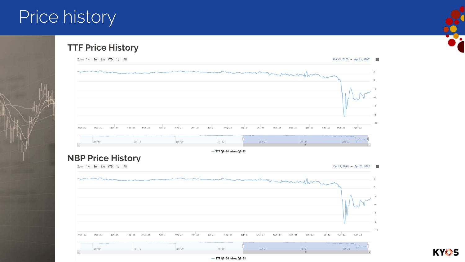## Price history









 $-$  TTF Q1-24 minus Q3-23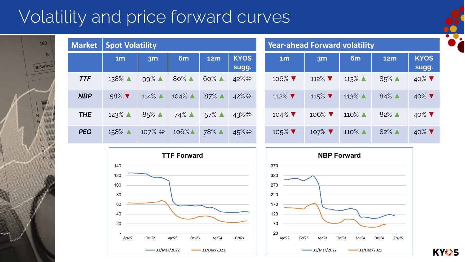# Volatility and price forward curves

100

Series<sup>1</sup>

 $\Omega$ £,

Ä

 $\mathbf{0}$ 

| <b>Market</b> | <b>Spot Volatility</b>      |                        |                     |                    |                          |  | <b>Year-ahead Forward volatility</b> |                              |                          |                    |                          |  |  |
|---------------|-----------------------------|------------------------|---------------------|--------------------|--------------------------|--|--------------------------------------|------------------------------|--------------------------|--------------------|--------------------------|--|--|
|               | 1 <sub>m</sub>              | 3m                     | 6 <sub>m</sub>      | <b>12m</b>         | <b>KYOS</b><br>sugg.     |  | 1 <sub>m</sub>                       | 3m                           | 6 <sub>m</sub>           | <b>12m</b>         | <b>KYOS</b><br>sugg.     |  |  |
| <b>TTF</b>    | $138\%$ $\triangle$         | $99\%$ $\triangle$     | 80% ▲               | $60\%$ $\triangle$ | 42%⇔                     |  | 106% $\blacktriangledown$            | 112% $\blacktriangledown$    | 113% $\triangle$         | $85\%$ $\triangle$ | 40% $\blacktriangledown$ |  |  |
| <b>NBP</b>    | $58\%$ $\blacktriangledown$ | $114\%$ $\triangle$    | $104\%$ $\triangle$ | 87% $\triangle$    | 42% $\Leftrightarrow$    |  | 112% $\blacktriangledown$            | 115% $\blacktriangledown$    | $113\%$ $\blacktriangle$ | 84% ▲              | 40% $\blacktriangledown$ |  |  |
| <b>THE</b>    | $123\%$ $\triangle$         | $85\%$ $\triangle$     | $74\%$ $\triangle$  | $57\%$ $\triangle$ | 43% $\Leftrightarrow$    |  | 104% $\blacktriangledown$            | $106\%$ $\blacktriangledown$ | $110\%$ $\triangle$      | 82% ▲              | 40% $\blacktriangledown$ |  |  |
| <b>PEG</b>    | 158%                        | 107% $\Leftrightarrow$ | $106\%$             | 78% ▲              | $45\%$ $\Leftrightarrow$ |  | $105\%$ $\blacktriangledown$         | 107% $\blacktriangledown$    | $110\%$ $\triangle$      | 82% ▲              | 40% $\blacktriangledown$ |  |  |



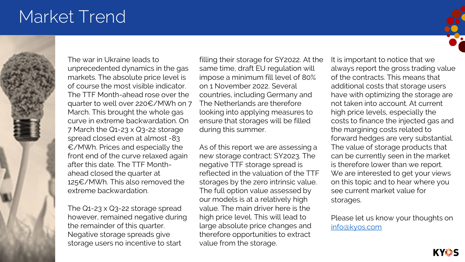## Market Trend



The war in Ukraine leads to unprecedented dynamics in the gas markets. The absolute price level is of course the most visible indicator. The TTF Month-ahead rose over the quarter to well over 220€/MWh on 7 March. This brought the whole gas curve in extreme backwardation. On 7 March the Q1-23 x Q3-22 storage spread closed even at almost -83 €/MWh. Prices and especially the front end of the curve relaxed again after this date. The TTF Monthahead closed the quarter at 125€/MWh. This also removed the extreme backwardation.

The Q1-23 x Q3-22 storage spread however, remained negative during the remainder of this quarter. Negative storage spreads give storage users no incentive to start

filling their storage for SY2022. At the same time, draft EU regulation will impose a minimum fill level of 80% on 1 November 2022. Several countries, including Germany and The Netherlands are therefore looking into applying measures to ensure that storages will be filled during this summer.

As of this report we are assessing a new storage contract: SY2023. The negative TTF storage spread is reflected in the valuation of the TTF storages by the zero intrinsic value. The full option value assessed by our models is at a relatively high value. The main driver here is the high price level. This will lead to large absolute price changes and therefore opportunities to extract value from the storage.

It is important to notice that we always report the gross trading value of the contracts. This means that additional costs that storage users have with optimizing the storage are not taken into account. At current high price levels, especially the costs to finance the injected gas and the margining costs related to forward hedges are very substantial. The value of storage products that can be currently seen in the market is therefore lower than we report. We are interested to get your views on this topic and to hear where you see current market value for storages.

Please let us know your thoughts on [info@kyos.com](mailto:info@kyos.com)

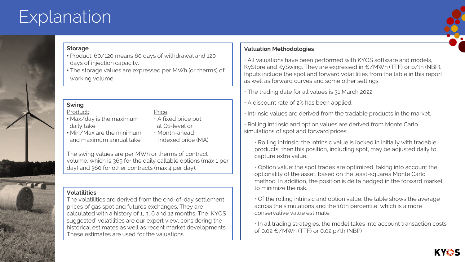## **Explanation**



#### **Storage**

- Product: 60/120 means 60 days of withdrawal and 120 days of injection capacity.
- The storage values are expressed per MWh (or therms) of working volume.

### **Swing**

### Product: Price

- Max/day is the maximum A fixed price put daily take at Q1-level or
- Min/Max are the minimum Month-ahead and maximum annual take indexed price (MA)
- 

The swing values are per MWh or therms of contract volume, which is 365 for the daily callable options (max 1 per day) and 360 for other contracts (max 4 per day).

### **Volatilities**

The volatilities are derived from the end-of-day settlement prices of gas spot and futures exchanges. They are calculated with a history of 1, 3, 6 and 12 months. The 'KYOS suggested' volatilities are our expert view, considering the historical estimates as well as recent market developments. These estimates are used for the valuations.

#### **Valuation Methodologies**

• All valuations have been performed with KYOS software and models, KyStore and KySwing. They are expressed in €/MWh (TTF) or p/th (NBP). Inputs include the spot and forward volatilities from the table in this report, as well as forward curves and some other settings.

• The trading date for all values is 31 March 2022.

• A discount rate of 2% has been applied.

• Intrinsic values are derived from the tradable products in the market.

• Rolling intrinsic and option values are derived from Monte Carlo simulations of spot and forward prices:

• Rolling intrinsic: the intrinsic value is locked in initially with tradable products; then this position, including spot, may be adjusted daily to capture extra value.

• Option value: the spot trades are optimized, taking into account the optionality of the asset, based on the least-squares Monte Carlo method. In addition, the position is delta hedged in the forward market to minimize the risk.

• Of the rolling intrinsic and option value, the table shows the average across the simulations and the 10th percentile, which is a more conservative value estimate.

• In all trading strategies, the model takes into account transaction costs of 0.02 €/MWh (TTF) or 0.02 p/th (NBP)